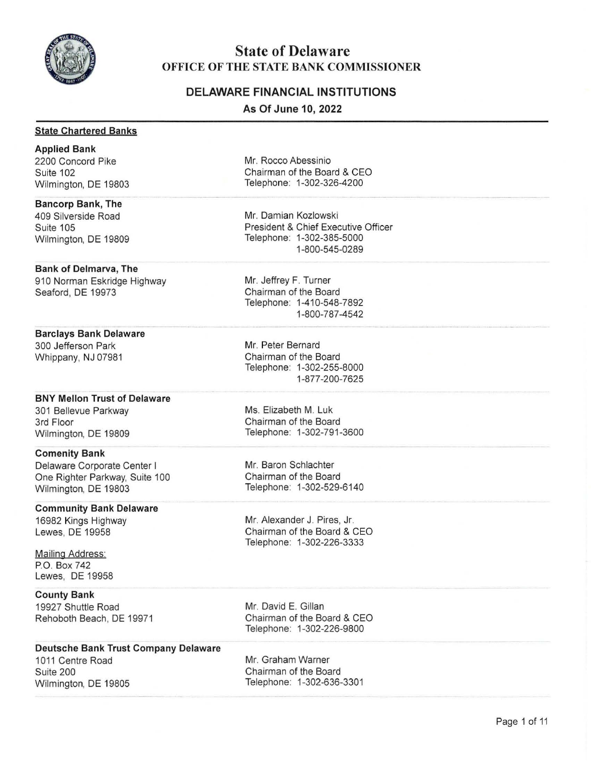

## **State of Delaware OFFICE OF THE STATE BANK COMMISSIONER**

## **DELAWARE FINANCIAL INSTITUTIONS**

**As Of June 10, 2022** 

#### **State Chartered Banks**

**Applied Bank**  2200 Concord Pike Suite 102 Wilmington, DE 19803

### **Bancorp Bank, The**

409 Silverside Road Suite 105 Wilmington, DE 19809

#### **Bank of Delmarva, The**

910 Norman Eskridge Highway Seaford, DE 19973

#### **Barclays Bank Delaware**

300 Jefferson Park Whippany, NJ 07981

#### **BNY Mellon Trust of Delaware**

301 Bellevue Parkway 3rd Floor Wilmington, DE 19809

#### **Comenity Bank**

Delaware Corporate Center I One Righter Parkway, Suite 100 Wilmington, DE 19803

#### **Community Bank Delaware**

16982 Kings Highway Lewes, DE 19958

**Mailing Address:** P.O. Box 742 Lewes, DE 19958

## **County Bank**

19927 Shuttle Road Rehoboth Beach, DE 19971 Mr. Rocco Abessinio Chairman of the Board & CEO Telephone: 1-302-326-4200

Mr. Damian Kozlowski President & Chief Executive Officer Telephone: 1-302-385-5000 1-800-545-0289

Mr. Jeffrey F. Turner Chairman of the Board Telephone: 1-410-548-7892 1-800-787-4542

Mr. Peter Bernard Chairman of the Board Telephone: 1-302-255-8000 1-877-200-7625

Ms. Elizabeth M. Luk Chairman of the Board Telephone: 1-302-791-3600

Mr. Baron Schlachter Chairman of the Board Telephone: 1-302-529-6140

Mr. Alexander J. Pires, Jr. Chairman of the Board & CEO Telephone: 1-302-226-3333

Mr. David E. Gillan Chairman of the Board & CEO Telephone: 1-302-226-9800

### **Deutsche Bank Trust Company Delaware**

1011 Centre Road Mr. Graham Warner Suite 200 Wilmington, DE 19805

Chairman of the Board Telephone: 1-302-636-3301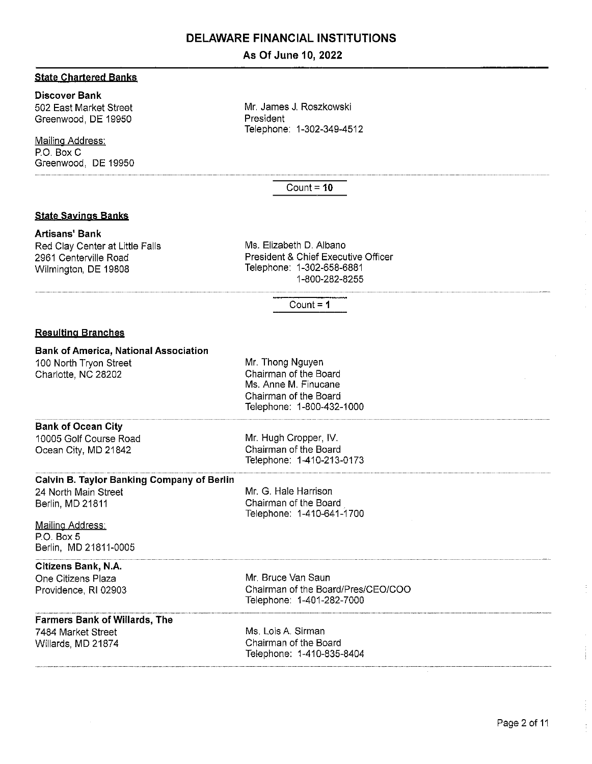### **As Of June 10, 2022**

#### **State Chartered Banks**

### **Discover Bank**

502 East Market Street Greenwood, DE 19950

Mailing Address: P.O. Box C Greenwood, DE 19950 Mr. James J. Roszkowski President Telephone: 1-302-349-4512

Count= **10** 

#### **State Sayjngs Banks**

#### **Artisans' Bank**

Red Clay Center at Little Falls 2961 Centerville Road Wilmington, DE 19808

Ms. Elizabeth D. Albano President & Chief Executive Officer Telephone: 1-302-658-6881 1-800-282-8255

 $Count = 1$ 

#### **Resulting Branches**

#### **Bank of America, National Association**

100 North Tryon Street Charlotte, NC 28202

Mr. Thong Nguyen Chairman of the Board Ms. Anne M. Finucane Chairman of the Board Telephone: 1-800-432-1000

#### **Bank of Ocean City**

10005 Golf Course Road Ocean City, MD 21842

Mr. Hugh Cropper, IV. Chairman of the Board Telephone: 1-410-213-0173

#### **Calvin B. Taylor Banking Company of Berlin**

24 North Main Street Berlin, MD 21811

Mr. G. Hale Harrison Chairman of the Board Telephone: 1-410-641-1700

#### Mailing Address: P.O. Box 5 Berlin, MD 21811-0005

#### **Citizens Bank, N.A.**

One Citizens Plaza Providence, RI 02903 Mr. Bruce Van Saun Chairman of the Board/Pres/CEO/COO Telephone: 1-401-282-7000

### **Farmers Bank of Willards, The**

7 484 Market Street Willards, MD 21874 Ms. Lois A. Sirman Chairman of the Board Telephone: 1-410-835-8404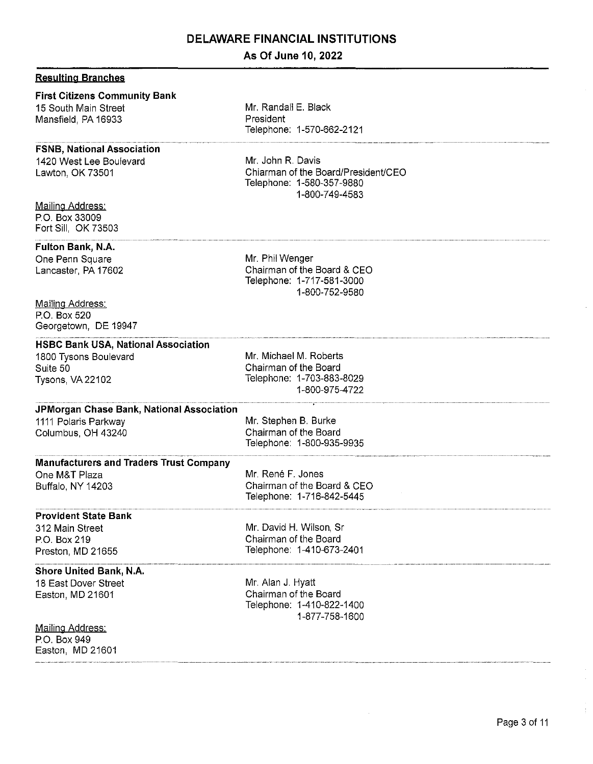## **As Of June 10, 2022**

Mr. Randall E. Black

|  |  | <u>Resulting Branches</u> |
|--|--|---------------------------|
|--|--|---------------------------|

#### **First Citizens Community Bank**

15 South Main Street Mansfield, PA 16933

#### **FSNB, National Association**

1420 West Lee Boulevard Lawton, OK 73501

Mailing Address: P.O. Box 33009 Fort Sill, OK 73503

#### **Fulton Bank, N.A.**

One Penn Square Lancaster, PA 17602

Mailing Address: P.O. Box 520 Georgetown, DE 19947

#### **HSBC Bank USA, National Association**

1800 Tysons Boulevard Suite 50 Tysons, VA 22102

President Telephone: 1-570-662-2121

Mr. John R. Davis Chiarman of the Board/President/CEO Telephone: 1-580-357 -9880 1-800-7 49-4583

Mr. Phil Wenger Chairman of the Board & CEO Telephone: 1-717-581-3000 1-800-752-9580

Mr. Michael M. Roberts Chairman of the Board Telephone: 1-703-883-8029 1-800-975-4 722

#### **JPMorgan Chase Bank, National Association**  1111 Polaris Parkway

Columbus, OH 43240

Mr. Stephen B. Burke Chairman of the Board Telephone: 1-800-935-9935

Chairman of the Board & CEO Telephone: 1-716-842-5445

Mr. René F. Jones

#### **Manufacturers and Traders Trust Company**  One M&T Plaza

Buffalo, NY 14203

#### **Provident State Bank**

312 Main Street P.O. Box 219 Preston, MD 21655

#### **Shore United Bank, N.A.**

18 East Dover Street Easton, MD 21601

Mailing Address:

P.O. Box 949 Easton, MD 21601 Mr. David H. Wilson, Sr Chairman of the Board Telephone: 1-410-673-2401

Mr. Alan J. Hyatt Chairman of the Board Telephone: 1-410-822-1400 1-877-758-1600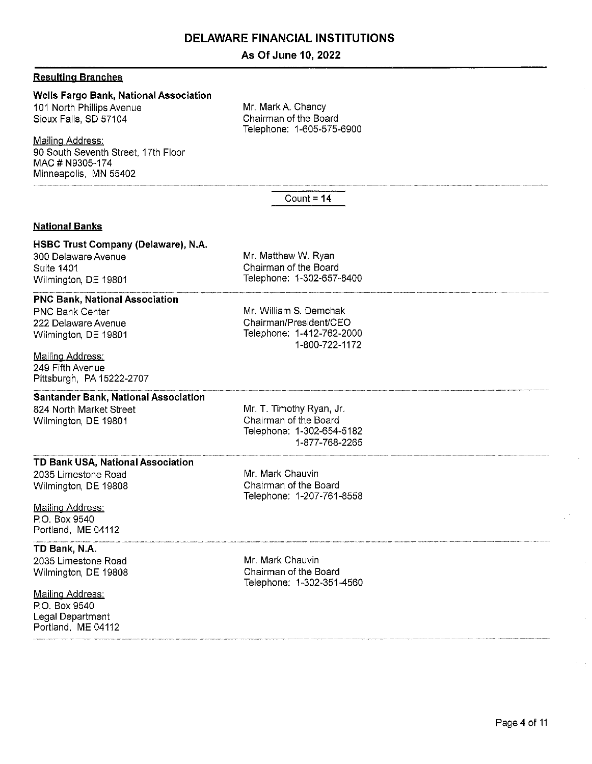## **As Of June 10, 2022**

#### **Resyltjng Branches**

### **Wells Fargo Bank, National Association**

101 North Phillips Avenue Sioux Falls, SD 57104

Mailing Address: 90 South Seventh Street, 17th Floor MAC# N9305-174 Minneapolis, MN 55402

Mr. Mark A. Chancy Chairman of the Board Telephone: 1-605-575-6900

Count= **14** 

Mr. Matthew W. Ryan Chairman of the Board Telephone: 1-302-657-8400

Mr. William S. Demchak Chairman/President/CEO Telephone: 1-412-762-2000

1-800-722-1172

#### **National Banks**

## **HSBC Trust Company (Delaware), N.A.**

300 Delaware Avenue Suite 1401 Wilmington, DE 19801

#### **PNC Bank, National Association**

PNC Bank Center 222 Delaware Avenue Wilmington, DE 19801

#### Mailing Address: 249 Fifth Avenue Pittsburgh, PA 15222-2707

#### **Santander Bank, National Association**

824 North Market Street Wilmington, DE 19801

Mr. **T.** Timothy Ryan, Jr. Chairman of the Board Telephone: 1-302-654-5182 1-877-768-2265

#### **TD Bank USA, National Association**

2035 Limestone Road Wilmington, DE 19808

#### Mailing Address: P.O. Box 9540 Portland, ME 04112

**TD Bank, N.A.** 

2035 Limestone Road Wilmington, DE 19808

Mailing Address: P.O. Box 9540 Legal Department Portland, ME 04112 Mr. Mark Chauvin Chairman of the Board Telephone: 1-207-761-8558

Mr. Mark Chauvin Chairman of the Board Telephone: 1-302-351-4560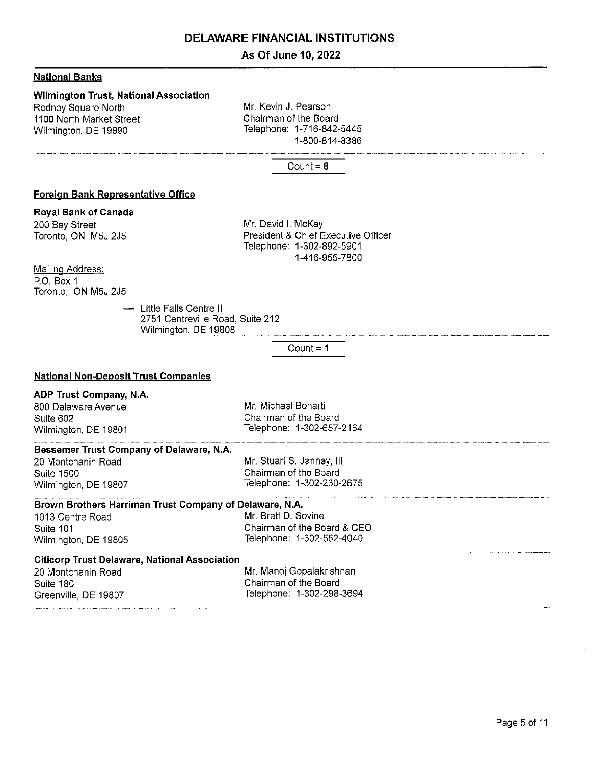### **As Of June 10, 2022**

#### **Natjonal Banks**

### **Wilmington Trust, National Association**

Rodney Square North 1100 North Market Street Wilmington, DE 19890

Mr. Kevin J. Pearson Chairman of the Board Telephone: 1-716-842-5445 1-800-814-8386

#### Count= **6**

#### **Foreign Bank Representative Office**

#### **Royal Bank of Canada**

200 Bay Street Toronto, ON M5J 2J5 Mr. David I. McKay President & Chief Executive Officer Telephone: 1-302-892-5901 1-416-955-7800

#### Mailing Address:

P.O. Box 1 Toronto, ON M5J 2J5

> - Little Falls Centre II 2751 Centreville Road, Suite 212 Wilmington, DE 19808

#### Count= **1**

#### **National Non-Deposit Trust Companies**

#### **ADP Trust Company, N.A.**

800 Delaware Avenue Suite 602 Wilmington, DE 19801 Mr. Michael Bonarti Chairman of the Board Telephone: 1-302-657-2164

#### **Bessemer Trust Company of Delaware, N.A.**

20 Montchanin Road Suite 1500 Wilmington, DE 19807 Mr. Stuart S. Janney, Ill Chairman of the Board Telephone: 1-302-230-2675

## **Brown Brothers Harriman Trust Company of Delaware, N.A.**

1013 Centre Road Mr. Brett D. Sovine Wilmington, DE 19805 Telephone: 1-302-552-4040

# Suite 101 Chairman of the Board & CEO

## **Citicorp Trust Delaware, National Association**

| 20 Montchanin Road   | Mr. Manoj Gopalakrishnan  |
|----------------------|---------------------------|
| Suite 180            | Chairman of the Board     |
| Greenville, DE 19807 | Telephone: 1-302-298-3694 |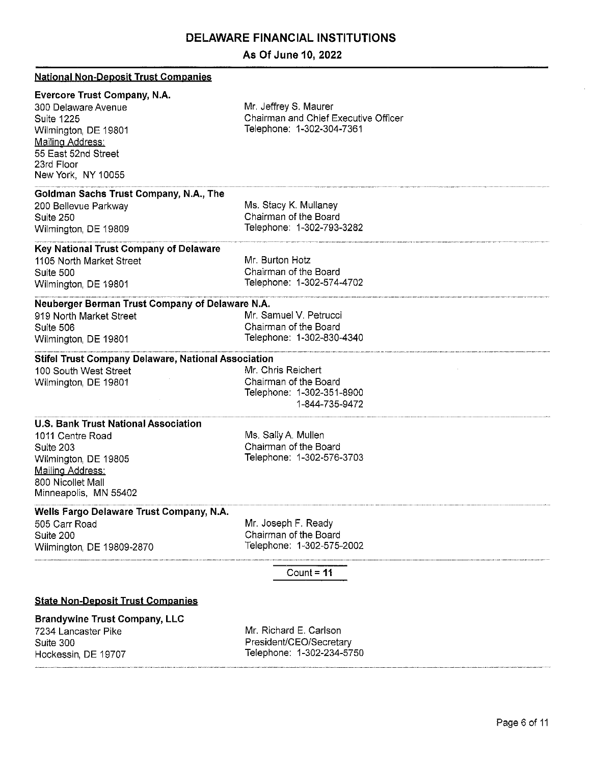## **As Of June 10, 2022**

| <b>National Non-Deposit Trust Companies</b>                                                                                                                                            |                                                                                            |
|----------------------------------------------------------------------------------------------------------------------------------------------------------------------------------------|--------------------------------------------------------------------------------------------|
| <b>Evercore Trust Company, N.A.</b><br>300 Delaware Avenue<br><b>Suite 1225</b><br>Wilmington, DE 19801<br>Mailing Address:<br>55 East 52nd Street<br>23rd Floor<br>New York, NY 10055 | Mr. Jeffrey S. Maurer<br>Chairman and Chief Executive Officer<br>Telephone: 1-302-304-7361 |
| Goldman Sachs Trust Company, N.A., The<br>200 Bellevue Parkway<br>Suite 250<br>Wilmington, DE 19809                                                                                    | Ms. Stacy K. Mullaney<br>Chairman of the Board<br>Telephone: 1-302-793-3282                |
| Key National Trust Company of Delaware                                                                                                                                                 |                                                                                            |
| 1105 North Market Street<br>Suite 500<br>Wilmington, DE 19801                                                                                                                          | Mr. Burton Hotz<br>Chairman of the Board<br>Telephone: 1-302-574-4702                      |
| Neuberger Berman Trust Company of Delaware N.A.<br>919 North Market Street<br>Suite 506<br>Wilmington, DE 19801                                                                        | Mr. Samuel V. Petrucci<br>Chairman of the Board<br>Telephone: 1-302-830-4340               |
| Stifel Trust Company Delaware, National Association<br>100 South West Street<br>Wilmington, DE 19801                                                                                   | Mr. Chris Reichert<br>Chairman of the Board<br>Telephone: 1-302-351-8900<br>1-844-735-9472 |
| <b>U.S. Bank Trust National Association</b><br>1011 Centre Road<br>Suite 203<br>Wilmington, DE 19805<br>Mailing Address:<br>800 Nicollet Mall<br>Minneapolis, MN 55402                 | Ms. Sally A. Mullen<br>Chairman of the Board<br>Telephone: 1-302-576-3703                  |
| Wells Fargo Delaware Trust Company, N.A.<br>505 Carr Road<br>Suite 200<br>Wilmington, DE 19809-2870                                                                                    | Mr. Joseph F. Ready<br>Chairman of the Board<br>Telephone: 1-302-575-2002                  |
| Count = $11$                                                                                                                                                                           |                                                                                            |
| <b>State Non-Deposit Trust Companies</b>                                                                                                                                               |                                                                                            |
| <b>Brandywine Trust Company, LLC</b><br>7234 Lancaster Pike<br>Suite 300<br>Hockessin, DE 19707                                                                                        | Mr. Richard E. Carlson<br>President/CEO/Secretary<br>Telephone: 1-302-234-5750             |
|                                                                                                                                                                                        |                                                                                            |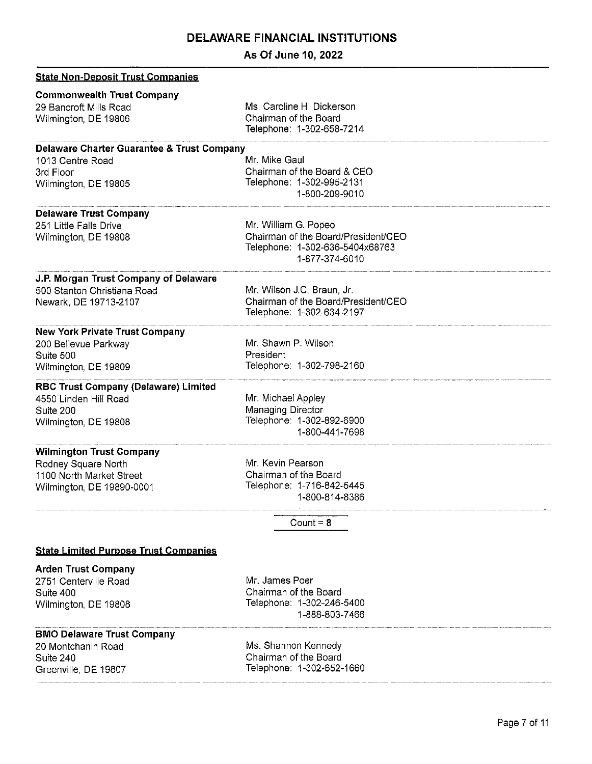**As Of June 10, 2022** 

| <b>State Non-Deposit Trust Companies</b>                                                                  |                                                                                                                  |
|-----------------------------------------------------------------------------------------------------------|------------------------------------------------------------------------------------------------------------------|
| <b>Commonwealth Trust Company</b><br>29 Bancroft Mills Road<br>Wilmington, DE 19806                       | Ms. Caroline H. Dickerson<br>Chairman of the Board<br>Telephone: 1-302-658-7214                                  |
| Delaware Charter Guarantee & Trust Company                                                                |                                                                                                                  |
| 1013 Centre Road<br>3rd Floor<br>Wilmington, DE 19805                                                     | Mr. Mike Gaul<br>Chairman of the Board & CEO<br>Telephone: 1-302-995-2131<br>1-800-209-9010                      |
| <b>Delaware Trust Company</b>                                                                             |                                                                                                                  |
| 251 Little Falls Drive<br>Wilmington, DE 19808                                                            | Mr. William G. Popeo<br>Chairman of the Board/President/CEO<br>Telephone: 1-302-636-5404x68763<br>1-877-374-6010 |
| J.P. Morgan Trust Company of Delaware<br>500 Stanton Christiana Road<br>Newark, DE 19713-2107             | Mr. Wilson J.C. Braun, Jr.<br>Chairman of the Board/President/CEO<br>Telephone: 1-302-634-2197                   |
| <b>New York Private Trust Company</b>                                                                     |                                                                                                                  |
| 200 Bellevue Parkway                                                                                      | Mr. Shawn P. Wilson                                                                                              |
| Suite 500<br>Wilmington, DE 19809                                                                         | President<br>Telephone: 1-302-798-2160                                                                           |
| <b>RBC Trust Company (Delaware) Limited</b><br>4550 Linden Hill Road<br>Suite 200<br>Wilmington, DE 19808 | Mr. Michael Appley<br>Managing Director<br>Telephone: 1-302-892-6900<br>1-800-441-7698                           |
| <b>Wilmington Trust Company</b>                                                                           |                                                                                                                  |
| Rodney Square North                                                                                       | Mr. Kevin Pearson                                                                                                |
| 1100 North Market Street<br>Wilmington, DE 19890-0001                                                     | Chairman of the Board<br>Telephone: 1-716-842-5445<br>1-800-814-8386                                             |
|                                                                                                           | Count = $8$                                                                                                      |
| <b>State Limited Purpose Trust Companies</b>                                                              |                                                                                                                  |
| <b>Arden Trust Company</b>                                                                                |                                                                                                                  |
| 2751 Centerville Road                                                                                     | Mr. James Poer                                                                                                   |
| Suite 400<br>Wilmington, DE 19808                                                                         | Chairman of the Board<br>Telephone: 1-302-246-5400<br>1-888-803-7466                                             |
| <b>BMO Delaware Trust Company</b>                                                                         |                                                                                                                  |
| 20 Montchanin Road                                                                                        | Ms. Shannon Kennedy                                                                                              |
| Suite 240<br>Greenville, DE 19807                                                                         | Chairman of the Board<br>Telephone: 1-302-652-1660                                                               |

··-- --------·-················-···--·-·······················································----···········································----·-················ --·······- - --- ------- -----------·······················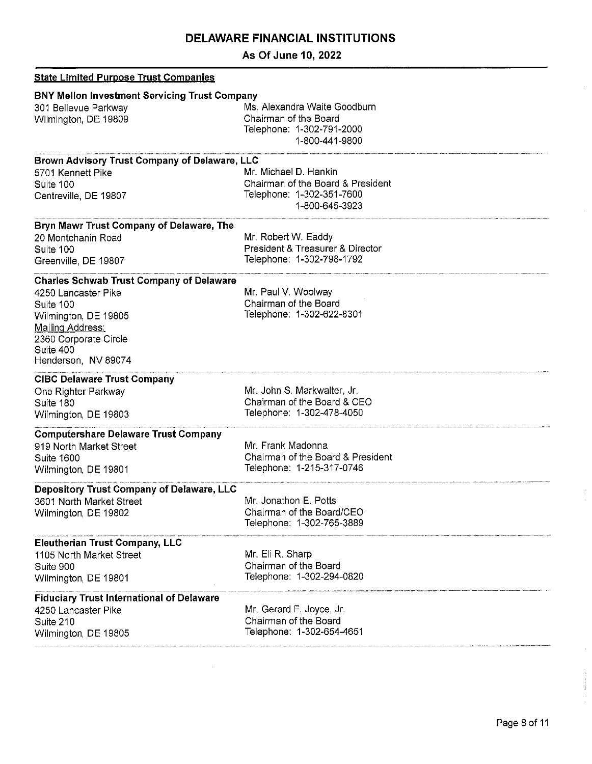**As Of June 10, 2022** 

| <b>State Limited Purpose Trust Companies</b>                                                                                                                                                 |                                                                                                           |
|----------------------------------------------------------------------------------------------------------------------------------------------------------------------------------------------|-----------------------------------------------------------------------------------------------------------|
| <b>BNY Mellon Investment Servicing Trust Company</b><br>301 Bellevue Parkway<br>Wilmington, DE 19809                                                                                         | Ms. Alexandra Waite Goodburn<br>Chairman of the Board<br>Telephone: 1-302-791-2000<br>1-800-441-9800      |
| Brown Advisory Trust Company of Delaware, LLC<br>5701 Kennett Pike<br>Suite 100<br>Centreville, DE 19807                                                                                     | Mr. Michael D. Hankin<br>Chairman of the Board & President<br>Telephone: 1-302-351-7600<br>1-800-645-3923 |
| Bryn Mawr Trust Company of Delaware, The<br>20 Montchanin Road<br>Suite 100<br>Greenville, DE 19807                                                                                          | Mr. Robert W. Eaddy<br>President & Treasurer & Director<br>Telephone: 1-302-798-1792                      |
| <b>Charles Schwab Trust Company of Delaware</b><br>4250 Lancaster Pike<br>Suite 100<br>Wilmington, DE 19805<br>Mailing Address:<br>2360 Corporate Circle<br>Suite 400<br>Henderson, NV 89074 | Mr. Paul V. Woolway<br>Chairman of the Board<br>Telephone: 1-302-622-8301                                 |
| <b>CIBC Delaware Trust Company</b><br>One Righter Parkway<br>Suite 180<br>Wilmington, DE 19803                                                                                               | Mr. John S. Markwalter, Jr.<br>Chairman of the Board & CEO<br>Telephone: 1-302-478-4050                   |
| <b>Computershare Delaware Trust Company</b><br>919 North Market Street<br><b>Suite 1600</b><br>Wilmington, DE 19801                                                                          | Mr. Frank Madonna<br>Chairman of the Board & President<br>Telephone: 1-215-317-0746                       |
| Depository Trust Company of Delaware, LLC<br>3601 North Market Street<br>Wilmington, DE 19802                                                                                                | Mr. Jonathon E. Potts<br>Chairman of the Board/CEO<br>Telephone: 1-302-765-3889                           |
| <b>Eleutherian Trust Company, LLC</b><br>1105 North Market Street<br>Suite 900<br>Wilmington, DE 19801                                                                                       | Mr. Eli R. Sharp<br>Chairman of the Board<br>Telephone: 1-302-294-0820                                    |
| <b>Fiduciary Trust International of Delaware</b><br>4250 Lancaster Pike<br>Suite 210<br>Wilmington, DE 19805                                                                                 | Mr. Gerard F. Joyce, Jr.<br>Chairman of the Board<br>Telephone: 1-302-654-4651                            |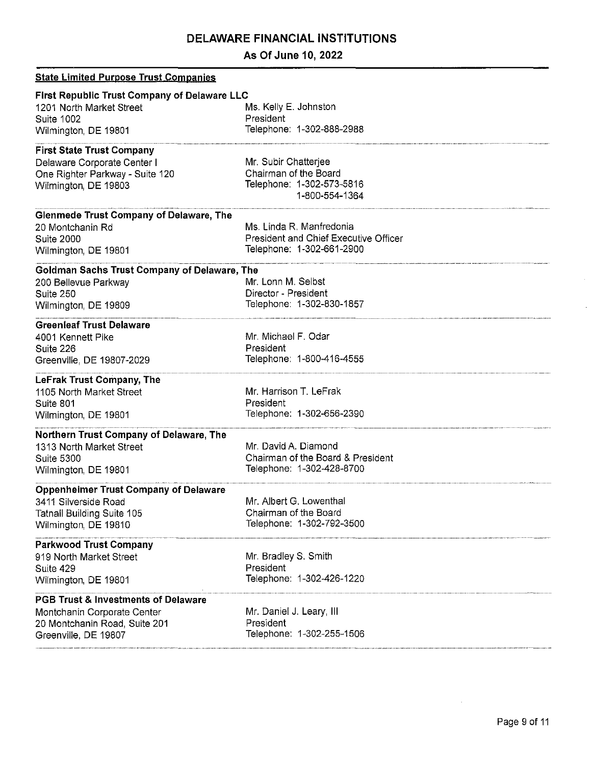## **As Of June 10, 2022**

| <b>State Limited Purpose Trust Companies</b>                                                                                           |                                                                                                |
|----------------------------------------------------------------------------------------------------------------------------------------|------------------------------------------------------------------------------------------------|
| <b>First Republic Trust Company of Delaware LLC</b><br>1201 North Market Street<br>Suite 1002<br>Wilmington, DE 19801                  | Ms. Kelly E. Johnston<br>President<br>Telephone: 1-302-888-2988                                |
|                                                                                                                                        |                                                                                                |
| <b>First State Trust Company</b><br>Delaware Corporate Center I<br>One Righter Parkway - Suite 120<br>Wilmington, DE 19803             | Mr. Subir Chatterjee<br>Chairman of the Board<br>Telephone: 1-302-573-5816<br>1-800-554-1364   |
| Glenmede Trust Company of Delaware, The<br>20 Montchanin Rd<br><b>Suite 2000</b><br>Wilmington, DE 19801                               | Ms. Linda R. Manfredonia<br>President and Chief Executive Officer<br>Telephone: 1-302-661-2900 |
| Goldman Sachs Trust Company of Delaware, The<br>200 Bellevue Parkway<br>Suite 250<br>Wilmington, DE 19809                              | Mr. Lonn M. Selbst<br>Director - President<br>Telephone: 1-302-830-1857                        |
| <b>Greenleaf Trust Delaware</b><br>4001 Kennett Pike<br>Suite 226<br>Greenville, DE 19807-2029                                         | Mr. Michael F. Odar<br>President<br>Telephone: 1-800-416-4555                                  |
| LeFrak Trust Company, The<br>1105 North Market Street<br>Suite 801<br>Wilmington, DE 19801                                             | Mr. Harrison T. LeFrak<br>President<br>Telephone: 1-302-656-2390                               |
| Northern Trust Company of Delaware, The<br>1313 North Market Street<br><b>Suite 5300</b><br>Wilmington, DE 19801                       | Mr. David A. Diamond<br>Chairman of the Board & President<br>Telephone: 1-302-428-8700         |
| <b>Oppenheimer Trust Company of Delaware</b><br>3411 Silverside Road<br><b>Tatnall Building Suite 105</b><br>Wilmington, DE 19810      | Mr. Albert G. Lowenthal<br>Chairman of the Board<br>Telephone: 1-302-792-3500                  |
| <b>Parkwood Trust Company</b><br>919 North Market Street<br>Suite 429<br>Wilmington, DE 19801                                          | Mr. Bradley S. Smith<br>President<br>Telephone: 1-302-426-1220                                 |
| <b>PGB Trust &amp; Investments of Delaware</b><br>Montchanin Corporate Center<br>20 Montchanin Road, Suite 201<br>Greenville, DE 19807 | Mr. Daniel J. Leary, III<br>President<br>Telephone: 1-302-255-1506                             |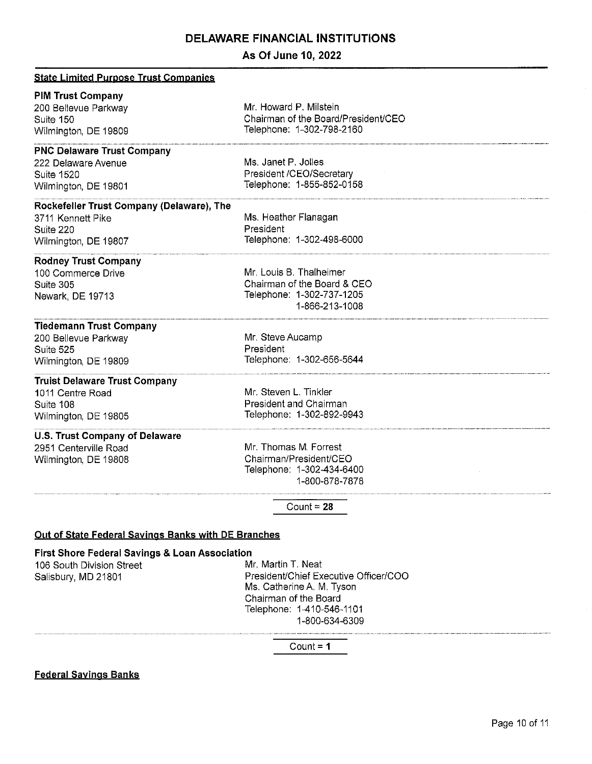## **As Of June 10, 2022**

| <b>State Limited Purpose Trust Companies</b>                                                                  |                                                                                                       |
|---------------------------------------------------------------------------------------------------------------|-------------------------------------------------------------------------------------------------------|
| <b>PIM Trust Company</b><br>200 Bellevue Parkway<br>Suite 150<br>Wilmington, DE 19809                         | Mr. Howard P. Milstein<br>Chairman of the Board/President/CEO<br>Telephone: 1-302-798-2160            |
| <b>PNC Delaware Trust Company</b><br>222 Delaware Avenue<br><b>Suite 1520</b><br>Wilmington, DE 19801         | Ms. Janet P. Jolles<br>President /CEO/Secretary<br>Telephone: 1-855-852-0158                          |
| Rockefeller Trust Company (Delaware), The<br>3711 Kennett Pike<br>Suite 220<br>Wilmington, DE 19807           | Ms. Heather Flanagan<br>President<br>Telephone: 1-302-498-6000                                        |
| <b>Rodney Trust Company</b><br>100 Commerce Drive<br>Suite 305<br>Newark, DE 19713                            | Mr. Louis B. Thalheimer<br>Chairman of the Board & CEO<br>Telephone: 1-302-737-1205<br>1-866-213-1008 |
| <b>Tiedemann Trust Company</b><br>200 Bellevue Parkway<br>Suite 525<br>Wilmington, DE 19809                   | Mr. Steve Aucamp<br>President<br>Telephone: 1-302-656-5644                                            |
| <b>Truist Delaware Trust Company</b><br>1011 Centre Road<br>Suite 108<br>Wilmington, DE 19805                 | Mr. Steven L. Tinkler<br>President and Chairman<br>Telephone: 1-302-892-9943                          |
| <b>U.S. Trust Company of Delaware</b><br>2951 Centerville Road<br>Wilmington, DE 19808                        | Mr. Thomas M. Forrest<br>Chairman/President/CEO<br>Telephone: 1-302-434-6400<br>1-800-878-7878        |
|                                                                                                               | Count = $28$                                                                                          |
| Out of State Federal Savings Banks with DE Branches                                                           |                                                                                                       |
| <b>First Shore Federal Savings &amp; Loan Association</b><br>106 South Division Street<br>Salisbury, MD 21801 | Mr. Martin T. Neat<br>President/Chief Executive Officer/COO                                           |

Ms. Catherine A. M. Tyson Chairman of the Board Telephone: 1-410-546-1101 1-800-634-6309

Count= **1** 

**Federal Savings Banks**